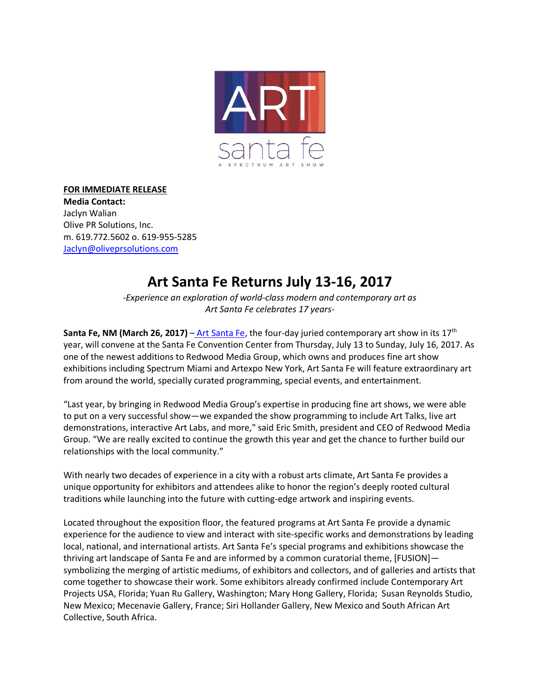

## **FOR IMMEDIATE RELEASE**

**Media Contact:**  Jaclyn Walian Olive PR Solutions, Inc. m. 619.772.5602 o. 619-955-5285 [Jaclyn@oliveprsolutions.com](mailto:Jaclyn@oliveprsolutions.com)

## **Art Santa Fe Returns July 13-16, 2017**

*-Experience an exploration of world-class modern and contemporary art as Art Santa Fe celebrates 17 years-*

**Santa Fe, NM (March 26, 2017)** – [Art Santa Fe,](http://www.artsantafe.com/) the four-day juried contemporary art show in its 17<sup>th</sup> year, will convene at the Santa Fe Convention Center from Thursday, July 13 to Sunday, July 16, 2017. As one of the newest additions to Redwood Media Group, which owns and produces fine art show exhibitions including Spectrum Miami and Artexpo New York, Art Santa Fe will feature extraordinary art from around the world, specially curated programming, special events, and entertainment.

"Last year, by bringing in Redwood Media Group's expertise in producing fine art shows, we were able to put on a very successful show—we expanded the show programming to include Art Talks, live art demonstrations, interactive Art Labs, and more," said Eric Smith, president and CEO of Redwood Media Group. "We are really excited to continue the growth this year and get the chance to further build our relationships with the local community."

With nearly two decades of experience in a city with a robust arts climate, Art Santa Fe provides a unique opportunity for exhibitors and attendees alike to honor the region's deeply rooted cultural traditions while launching into the future with cutting-edge artwork and inspiring events.

Located throughout the exposition floor, the featured programs at Art Santa Fe provide a dynamic experience for the audience to view and interact with site-specific works and demonstrations by leading local, national, and international artists. Art Santa Fe's special programs and exhibitions showcase the thriving art landscape of Santa Fe and are informed by a common curatorial theme, [FUSION] symbolizing the merging of artistic mediums, of exhibitors and collectors, and of galleries and artists that come together to showcase their work. Some exhibitors already confirmed include Contemporary Art Projects USA, Florida; Yuan Ru Gallery, Washington; Mary Hong Gallery, Florida; Susan Reynolds Studio, New Mexico; Mecenavie Gallery, France; Siri Hollander Gallery, New Mexico and South African Art Collective, South Africa.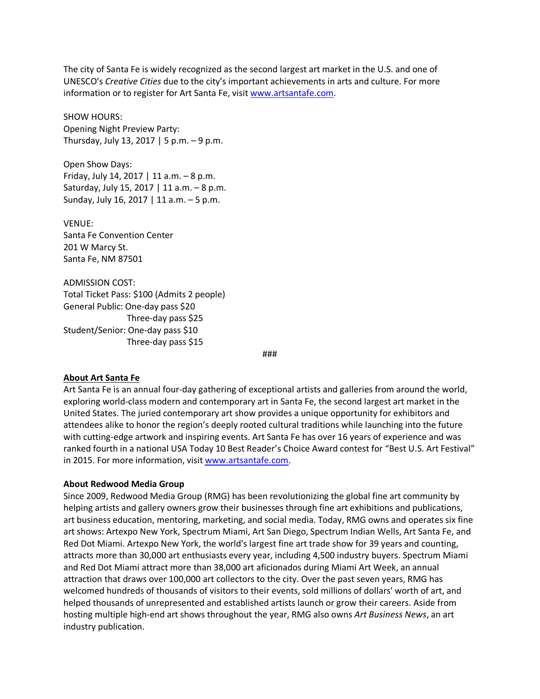The city of Santa Fe is widely recognized as the second largest art market in the U.S. and one of UNESCO's *Creative Cities* due to the city's important achievements in arts and culture. For more information or to register for Art Santa Fe, visit [www.artsantafe.com.](http://www.artsantafe.com/)

SHOW HOURS: Opening Night Preview Party: Thursday, July 13, 2017 | 5 p.m.  $-9$  p.m.

Open Show Days: Friday, July 14, 2017 | 11 a.m.  $-8$  p.m. Saturday, July 15, 2017 | 11 a.m. – 8 p.m. Sunday, July 16, 2017 | 11 a.m. – 5 p.m.

VENUE: Santa Fe Convention Center 201 W Marcy St. Santa Fe, NM 87501

ADMISSION COST: Total Ticket Pass: \$100 (Admits 2 people) General Public: One-day pass \$20 Three-day pass \$25 Student/Senior: One-day pass \$10 Three-day pass \$15

###

## **About Art Santa Fe**

Art Santa Fe is an annual four-day gathering of exceptional artists and galleries from around the world, exploring world-class modern and contemporary art in Santa Fe, the second largest art market in the United States. The juried contemporary art show provides a unique opportunity for exhibitors and attendees alike to honor the region's deeply rooted cultural traditions while launching into the future with cutting-edge artwork and inspiring events. Art Santa Fe has over 16 years of experience and was ranked fourth in a national USA Today 10 Best Reader's Choice Award contest for "Best U.S. Art Festival" in 2015. For more information, visit [www.artsantafe.com.](http://www.artsantafe.com/)

## **About Redwood Media Group**

Since 2009, Redwood Media Group (RMG) has been revolutionizing the global fine art community by helping artists and gallery owners grow their businesses through fine art exhibitions and publications, art business education, mentoring, marketing, and social media. Today, RMG owns and operates six fine art shows: Artexpo New York, Spectrum Miami, Art San Diego, Spectrum Indian Wells, Art Santa Fe, and Red Dot Miami. Artexpo New York, the world's largest fine art trade show for 39 years and counting, attracts more than 30,000 art enthusiasts every year, including 4,500 industry buyers. Spectrum Miami and Red Dot Miami attract more than 38,000 art aficionados during Miami Art Week, an annual attraction that draws over 100,000 art collectors to the city. Over the past seven years, RMG has welcomed hundreds of thousands of visitors to their events, sold millions of dollars' worth of art, and helped thousands of unrepresented and established artists launch or grow their careers. Aside from hosting multiple high-end art shows throughout the year, RMG also owns *Art Business News*, an art industry publication.